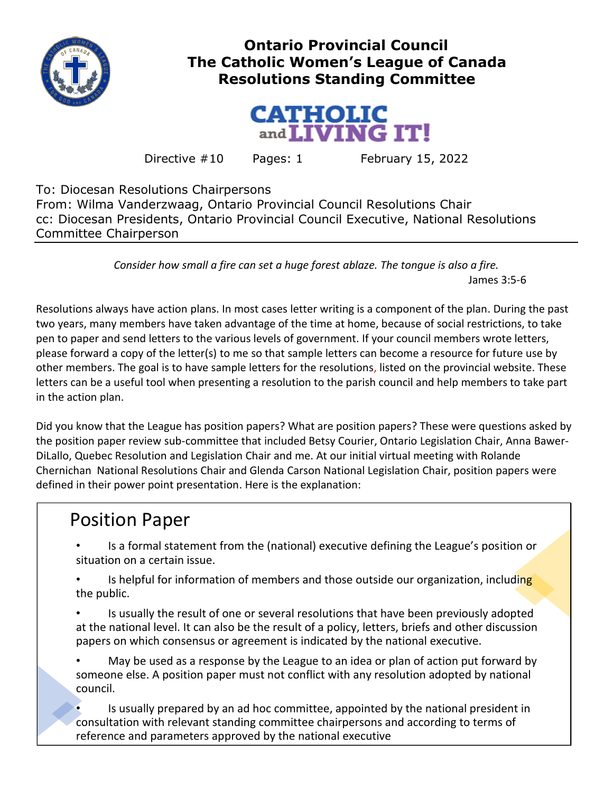

## **Ontario Provincial Council The Catholic Women's League of Canada Resolutions Standing Committee**



Directive  $\#10$  Pages: 1 February 15, 2022

To: Diocesan Resolutions Chairpersons From: Wilma Vanderzwaag, Ontario Provincial Council Resolutions Chair cc: Diocesan Presidents, Ontario Provincial Council Executive, National Resolutions Committee Chairperson

> *Consider how small a fire can set a huge forest ablaze. The tongue is also a fire.* James 3:5-6

Resolutions always have action plans. In most cases letter writing is a component of the plan. During the past two years, many members have taken advantage of the time at home, because of social restrictions, to take pen to paper and send letters to the various levels of government. If your council members wrote letters, please forward a copy of the letter(s) to me so that sample letters can become a resource for future use by other members. The goal is to have sample letters for the resolutions, listed on the provincial website. These letters can be a useful tool when presenting a resolution to the parish council and help members to take part in the action plan.

Did you know that the League has position papers? What are position papers? These were questions asked by the position paper review sub-committee that included Betsy Courier, Ontario Legislation Chair, Anna Bawer-DiLallo, Quebec Resolution and Legislation Chair and me. At our initial virtual meeting with Rolande Chernichan National Resolutions Chair and Glenda Carson National Legislation Chair, position papers were defined in their power point presentation. Here is the explanation:

## Position Paper

• Is a formal statement from the (national) executive defining the League's position or situation on a certain issue.

Is helpful for information of members and those outside our organization, including the public.

• Is usually the result of one or several resolutions that have been previously adopted at the national level. It can also be the result of a policy, letters, briefs and other discussion papers on which consensus or agreement is indicated by the national executive.

• May be used as a response by the League to an idea or plan of action put forward by someone else. A position paper must not conflict with any resolution adopted by national council.

Is usually prepared by an ad hoc committee, appointed by the national president in consultation with relevant standing committee chairpersons and according to terms of reference and parameters approved by the national executive